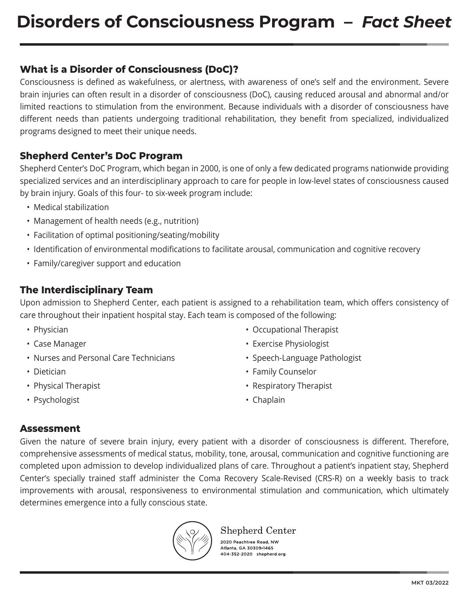### **What is a Disorder of Consciousness (DoC)?**

Consciousness is defined as wakefulness, or alertness, with awareness of one's self and the environment. Severe brain injuries can often result in a disorder of consciousness (DoC), causing reduced arousal and abnormal and/or limited reactions to stimulation from the environment. Because individuals with a disorder of consciousness have different needs than patients undergoing traditional rehabilitation, they benefit from specialized, individualized programs designed to meet their unique needs.

### **Shepherd Center's DoC Program**

Shepherd Center's DoC Program, which began in 2000, is one of only a few dedicated programs nationwide providing specialized services and an interdisciplinary approach to care for people in low-level states of consciousness caused by brain injury. Goals of this four- to six-week program include:

- Medical stabilization
- Management of health needs (e.g., nutrition)
- Facilitation of optimal positioning/seating/mobility
- Identification of environmental modifications to facilitate arousal, communication and cognitive recovery
- Family/caregiver support and education

### **The Interdisciplinary Team**

Upon admission to Shepherd Center, each patient is assigned to a rehabilitation team, which offers consistency of care throughout their inpatient hospital stay. Each team is composed of the following:

- Physician
- Case Manager
- Nurses and Personal Care Technicians
- Dietician
- Physical Therapist
- Psychologist
- Occupational Therapist
- Exercise Physiologist
- Speech-Language Pathologist
- Family Counselor
- Respiratory Therapist
- Chaplain

### **Assessment**

Given the nature of severe brain injury, every patient with a disorder of consciousness is different. Therefore, comprehensive assessments of medical status, mobility, tone, arousal, communication and cognitive functioning are completed upon admission to develop individualized plans of care. Throughout a patient's inpatient stay, Shepherd Center's specially trained staff administer the Coma Recovery Scale-Revised (CRS-R) on a weekly basis to track improvements with arousal, responsiveness to environmental stimulation and communication, which ultimately determines emergence into a fully conscious state.



### Shepherd Center

2020 Peachtree Road, NW Atlanta, GA 30309-1465 104-352-2020 shepherd.org